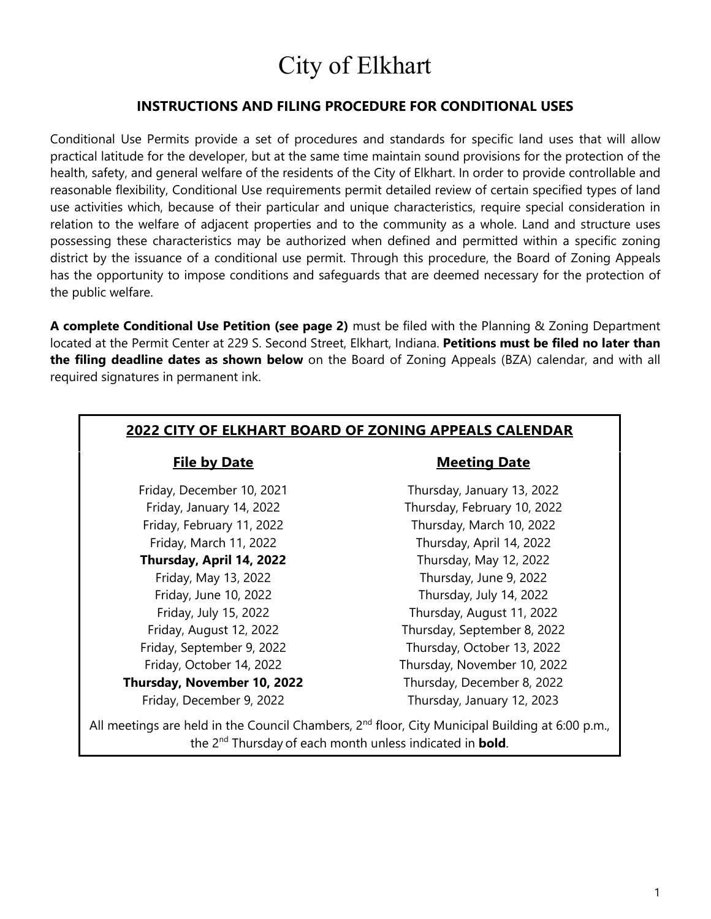# City of Elkhart

#### **INSTRUCTIONS AND FILING PROCEDURE FOR CONDITIONAL USES**

Conditional Use Permits provide a set of procedures and standards for specific land uses that will allow practical latitude for the developer, but at the same time maintain sound provisions for the protection of the health, safety, and general welfare of the residents of the City of Elkhart. In order to provide controllable and reasonable flexibility, Conditional Use requirements permit detailed review of certain specified types of land use activities which, because of their particular and unique characteristics, require special consideration in relation to the welfare of adjacent properties and to the community as a whole. Land and structure uses possessing these characteristics may be authorized when defined and permitted within a specific zoning district by the issuance of a conditional use permit. Through this procedure, the Board of Zoning Appeals has the opportunity to impose conditions and safeguards that are deemed necessary for the protection of the public welfare.

**A complete Conditional Use Petition (see page 2)** must be filed with the Planning & Zoning Department located at the Permit Center at 229 S. Second Street, Elkhart, Indiana. **Petitions must be filed no later than the filing deadline dates as shown below** on the Board of Zoning Appeals (BZA) calendar, and with all required signatures in permanent ink.

#### **2022 CITY OF ELKHART BOARD OF ZONING APPEALS CALENDAR**

**Thursday, April 14, 2022** Thursday, May 12, 2022

Friday, December 9, 2022 Thursday, January 12, 2023

#### **File by Date Meeting Date**

Friday, December 10, 2021 Thursday, January 13, 2022 Friday, January 14, 2022 Thursday, February 10, 2022 Friday, February 11, 2022 Thursday, March 10, 2022 Friday, March 11, 2022 Thursday, April 14, 2022 Friday, May 13, 2022 Thursday, June 9, 2022 Friday, June 10, 2022 Thursday, July 14, 2022 Friday, July 15, 2022 Thursday, August 11, 2022 Friday, August 12, 2022 Thursday, September 8, 2022 Friday, September 9, 2022 Thursday, October 13, 2022 Friday, October 14, 2022 Thursday, November 10, 2022 **Thursday, November 10, 2022** Thursday, December 8, 2022

All meetings are held in the Council Chambers, 2<sup>nd</sup> floor, City Municipal Building at 6:00 p.m., the 2nd Thursday of each month unless indicated in **bold**.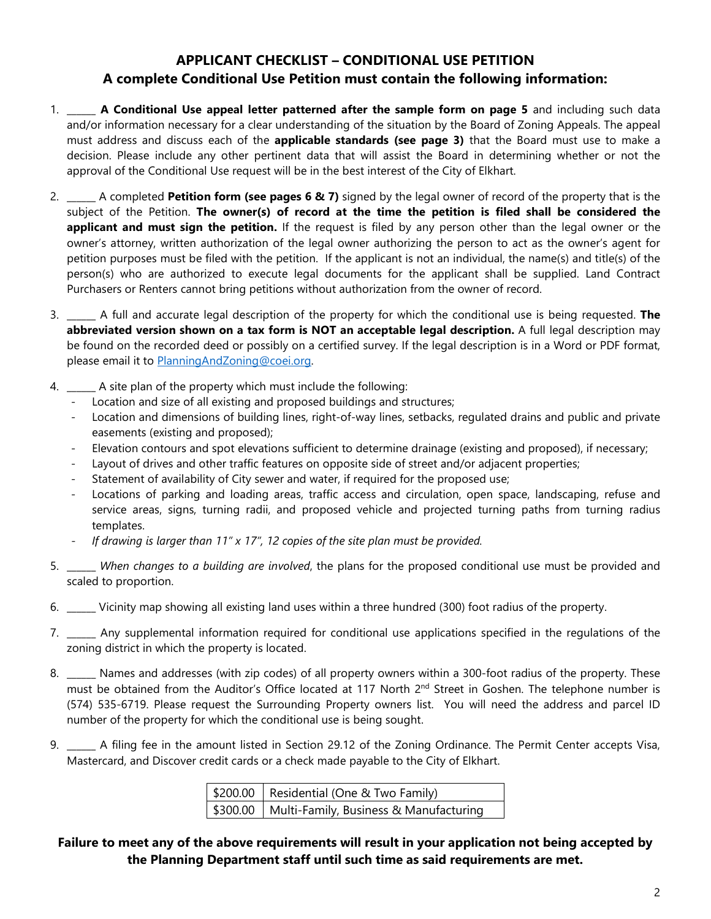### **APPLICANT CHECKLIST – CONDITIONAL USE PETITION A complete Conditional Use Petition must contain the following information:**

- 1. \_\_\_\_\_\_ **A Conditional Use appeal letter patterned after the sample form on page 5** and including such data and/or information necessary for a clear understanding of the situation by the Board of Zoning Appeals. The appeal must address and discuss each of the **applicable standards (see page 3)** that the Board must use to make a decision. Please include any other pertinent data that will assist the Board in determining whether or not the approval of the Conditional Use request will be in the best interest of the City of Elkhart.
- 2. \_\_\_\_\_\_ A completed **Petition form (see pages 6 & 7)** signed by the legal owner of record of the property that is the subject of the Petition. **The owner(s) of record at the time the petition is filed shall be considered the applicant and must sign the petition.** If the request is filed by any person other than the legal owner or the owner's attorney, written authorization of the legal owner authorizing the person to act as the owner's agent for petition purposes must be filed with the petition. If the applicant is not an individual, the name(s) and title(s) of the person(s) who are authorized to execute legal documents for the applicant shall be supplied. Land Contract Purchasers or Renters cannot bring petitions without authorization from the owner of record.
- 3. \_\_\_\_\_\_ A full and accurate legal description of the property for which the conditional use is being requested. **The abbreviated version shown on a tax form is NOT an acceptable legal description.** A full legal description may be found on the recorded deed or possibly on a certified survey. If the legal description is in a Word or PDF format, please email it to [PlanningAndZoning@coei.org.](mailto:PlanningAndZoning@coei.org)
- 4. \_\_\_\_\_\_ A site plan of the property which must include the following:
	- Location and size of all existing and proposed buildings and structures;
	- Location and dimensions of building lines, right-of-way lines, setbacks, regulated drains and public and private easements (existing and proposed);
	- Elevation contours and spot elevations sufficient to determine drainage (existing and proposed), if necessary;
	- Layout of drives and other traffic features on opposite side of street and/or adjacent properties;
	- Statement of availability of City sewer and water, if required for the proposed use;
	- Locations of parking and loading areas, traffic access and circulation, open space, landscaping, refuse and service areas, signs, turning radii, and proposed vehicle and projected turning paths from turning radius templates.
	- *If drawing is larger than 11" x 17", 12 copies of the site plan must be provided.*
- 5. \_\_\_\_\_\_ *When changes to a building are involved*, the plans for the proposed conditional use must be provided and scaled to proportion.
- 6. \_\_\_\_\_\_ Vicinity map showing all existing land uses within a three hundred (300) foot radius of the property.
- 7. \_\_\_\_\_\_ Any supplemental information required for conditional use applications specified in the regulations of the zoning district in which the property is located.
- 8. \_\_\_\_\_\_ Names and addresses (with zip codes) of all property owners within a 300-foot radius of the property. These must be obtained from the Auditor's Office located at 117 North 2<sup>nd</sup> Street in Goshen. The telephone number is (574) 535-6719. Please request the Surrounding Property owners list. You will need the address and parcel ID number of the property for which the conditional use is being sought.
- 9. \_\_\_\_\_ A filing fee in the amount listed in Section 29.12 of the Zoning Ordinance. The Permit Center accepts Visa, Mastercard, and Discover credit cards or a check made payable to the City of Elkhart.

| \$200.00   Residential (One & Two Family)         |  |
|---------------------------------------------------|--|
| \$300.00   Multi-Family, Business & Manufacturing |  |

#### **Failure to meet any of the above requirements will result in your application not being accepted by the Planning Department staff until such time as said requirements are met.**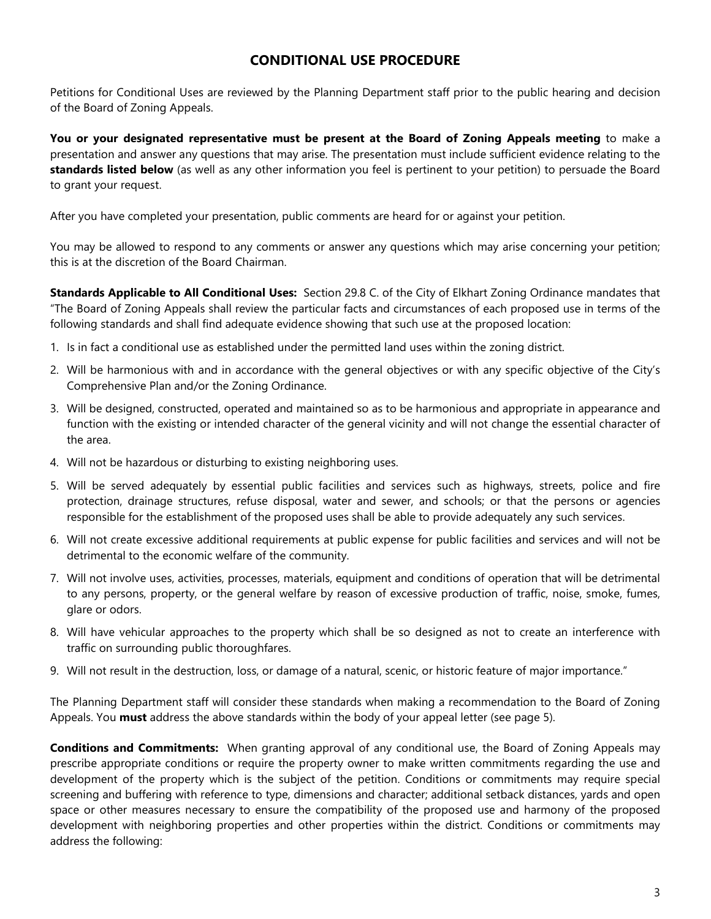#### **CONDITIONAL USE PROCEDURE**

Petitions for Conditional Uses are reviewed by the Planning Department staff prior to the public hearing and decision of the Board of Zoning Appeals.

**You or your designated representative must be present at the Board of Zoning Appeals meeting** to make a presentation and answer any questions that may arise. The presentation must include sufficient evidence relating to the **standards listed below** (as well as any other information you feel is pertinent to your petition) to persuade the Board to grant your request.

After you have completed your presentation, public comments are heard for or against your petition.

You may be allowed to respond to any comments or answer any questions which may arise concerning your petition; this is at the discretion of the Board Chairman.

**Standards Applicable to All Conditional Uses:** Section 29.8 C. of the City of Elkhart Zoning Ordinance mandates that "The Board of Zoning Appeals shall review the particular facts and circumstances of each proposed use in terms of the following standards and shall find adequate evidence showing that such use at the proposed location:

- 1. Is in fact a conditional use as established under the permitted land uses within the zoning district.
- 2. Will be harmonious with and in accordance with the general objectives or with any specific objective of the City's Comprehensive Plan and/or the Zoning Ordinance.
- 3. Will be designed, constructed, operated and maintained so as to be harmonious and appropriate in appearance and function with the existing or intended character of the general vicinity and will not change the essential character of the area.
- 4. Will not be hazardous or disturbing to existing neighboring uses.
- 5. Will be served adequately by essential public facilities and services such as highways, streets, police and fire protection, drainage structures, refuse disposal, water and sewer, and schools; or that the persons or agencies responsible for the establishment of the proposed uses shall be able to provide adequately any such services.
- 6. Will not create excessive additional requirements at public expense for public facilities and services and will not be detrimental to the economic welfare of the community.
- 7. Will not involve uses, activities, processes, materials, equipment and conditions of operation that will be detrimental to any persons, property, or the general welfare by reason of excessive production of traffic, noise, smoke, fumes, glare or odors.
- 8. Will have vehicular approaches to the property which shall be so designed as not to create an interference with traffic on surrounding public thoroughfares.
- 9. Will not result in the destruction, loss, or damage of a natural, scenic, or historic feature of major importance."

The Planning Department staff will consider these standards when making a recommendation to the Board of Zoning Appeals. You **must** address the above standards within the body of your appeal letter (see page 5).

**Conditions and Commitments:** When granting approval of any conditional use, the Board of Zoning Appeals may prescribe appropriate conditions or require the property owner to make written commitments regarding the use and development of the property which is the subject of the petition. Conditions or commitments may require special screening and buffering with reference to type, dimensions and character; additional setback distances, yards and open space or other measures necessary to ensure the compatibility of the proposed use and harmony of the proposed development with neighboring properties and other properties within the district. Conditions or commitments may address the following: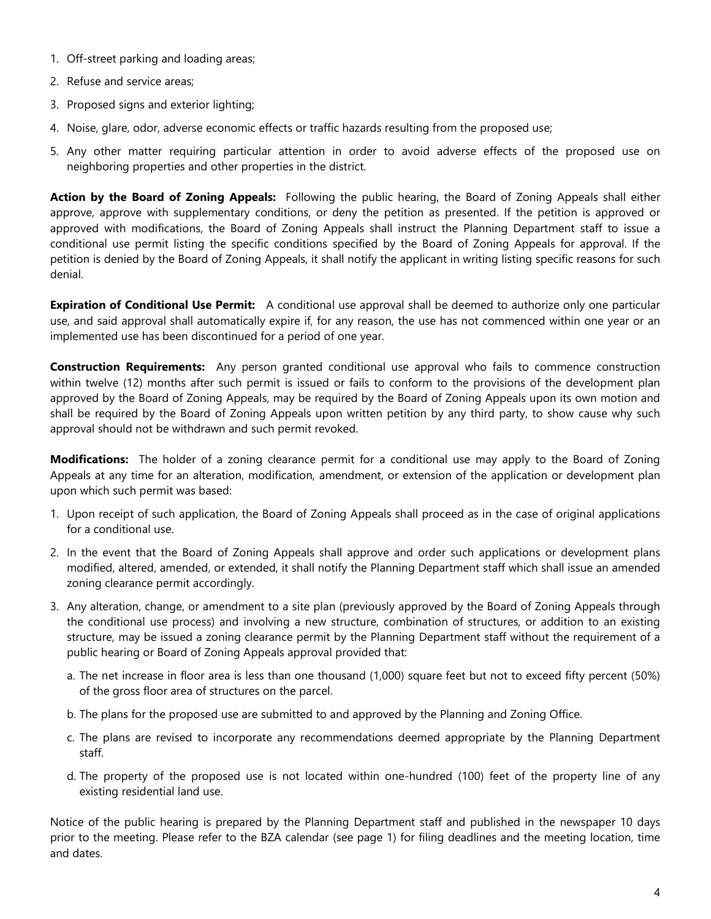- 1. Off-street parking and loading areas;
- 2. Refuse and service areas;
- 3. Proposed signs and exterior lighting;
- 4. Noise, glare, odor, adverse economic effects or traffic hazards resulting from the proposed use;
- 5. Any other matter requiring particular attention in order to avoid adverse effects of the proposed use on neighboring properties and other properties in the district.

**Action by the Board of Zoning Appeals:** Following the public hearing, the Board of Zoning Appeals shall either approve, approve with supplementary conditions, or deny the petition as presented. If the petition is approved or approved with modifications, the Board of Zoning Appeals shall instruct the Planning Department staff to issue a conditional use permit listing the specific conditions specified by the Board of Zoning Appeals for approval. If the petition is denied by the Board of Zoning Appeals, it shall notify the applicant in writing listing specific reasons for such denial.

**Expiration of Conditional Use Permit:** A conditional use approval shall be deemed to authorize only one particular use, and said approval shall automatically expire if, for any reason, the use has not commenced within one year or an implemented use has been discontinued for a period of one year.

**Construction Requirements:** Any person granted conditional use approval who fails to commence construction within twelve (12) months after such permit is issued or fails to conform to the provisions of the development plan approved by the Board of Zoning Appeals, may be required by the Board of Zoning Appeals upon its own motion and shall be required by the Board of Zoning Appeals upon written petition by any third party, to show cause why such approval should not be withdrawn and such permit revoked.

**Modifications:** The holder of a zoning clearance permit for a conditional use may apply to the Board of Zoning Appeals at any time for an alteration, modification, amendment, or extension of the application or development plan upon which such permit was based:

- 1. Upon receipt of such application, the Board of Zoning Appeals shall proceed as in the case of original applications for a conditional use.
- 2. In the event that the Board of Zoning Appeals shall approve and order such applications or development plans modified, altered, amended, or extended, it shall notify the Planning Department staff which shall issue an amended zoning clearance permit accordingly.
- 3. Any alteration, change, or amendment to a site plan (previously approved by the Board of Zoning Appeals through the conditional use process) and involving a new structure, combination of structures, or addition to an existing structure, may be issued a zoning clearance permit by the Planning Department staff without the requirement of a public hearing or Board of Zoning Appeals approval provided that:
	- a. The net increase in floor area is less than one thousand (1,000) square feet but not to exceed fifty percent (50%) of the gross floor area of structures on the parcel.
	- b. The plans for the proposed use are submitted to and approved by the Planning and Zoning Office.
	- c. The plans are revised to incorporate any recommendations deemed appropriate by the Planning Department staff.
	- d. The property of the proposed use is not located within one-hundred (100) feet of the property line of any existing residential land use.

Notice of the public hearing is prepared by the Planning Department staff and published in the newspaper 10 days prior to the meeting. Please refer to the BZA calendar (see page 1) for filing deadlines and the meeting location, time and dates.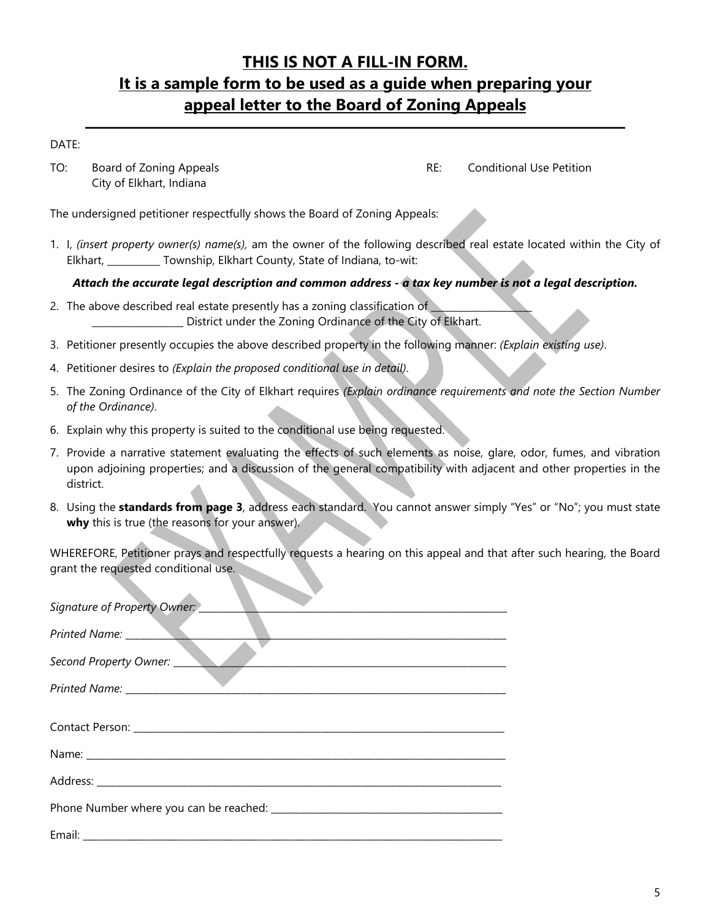## **THIS IS NOT A FILL-IN FORM. It is a sample form to be used as a guide when preparing your appeal letter to the Board of Zoning Appeals**

**\_\_\_\_\_\_\_\_\_\_\_\_\_\_\_\_\_\_\_\_\_\_\_\_\_\_\_\_\_\_\_\_\_\_\_\_\_\_\_\_\_\_\_\_\_\_\_\_\_\_\_\_\_\_\_\_\_\_\_\_\_\_\_\_\_\_\_\_\_\_\_\_\_**

#### DATE:

TO: Board of Zoning Appeals **RE:** Conditional Use Petition City of Elkhart, Indiana

The undersigned petitioner respectfully shows the Board of Zoning Appeals:

1. I, *(insert property owner(s) name(s),* am the owner of the following described real estate located within the City of Elkhart, \_\_\_\_\_\_\_\_\_\_\_ Township, Elkhart County, State of Indiana, to-wit:

*Attach the accurate legal description and common address - a tax key number is not a legal description.* 

- 2. The above described real estate presently has a zoning classification of District under the Zoning Ordinance of the City of Elkhart.
- 3. Petitioner presently occupies the above described property in the following manner: *(Explain existing use)*.
- 4. Petitioner desires to *(Explain the proposed conditional use in detail)*.
- 5. The Zoning Ordinance of the City of Elkhart requires *(Explain ordinance requirements and note the Section Number of the Ordinance)*.
- 6. Explain why this property is suited to the conditional use being requested.
- 7. Provide a narrative statement evaluating the effects of such elements as noise, glare, odor, fumes, and vibration upon adjoining properties; and a discussion of the general compatibility with adjacent and other properties in the district.
- 8. Using the **standards from page 3**, address each standard. You cannot answer simply "Yes" or "No"; you must state **why** this is true (the reasons for your answer).

WHEREFORE, Petitioner prays and respectfully requests a hearing on this appeal and that after such hearing, the Board grant the requested conditional use.

| Signature of Property Owner: ______ |
|-------------------------------------|
|                                     |
| Second Property Owner:              |
|                                     |
|                                     |
|                                     |
|                                     |
|                                     |
|                                     |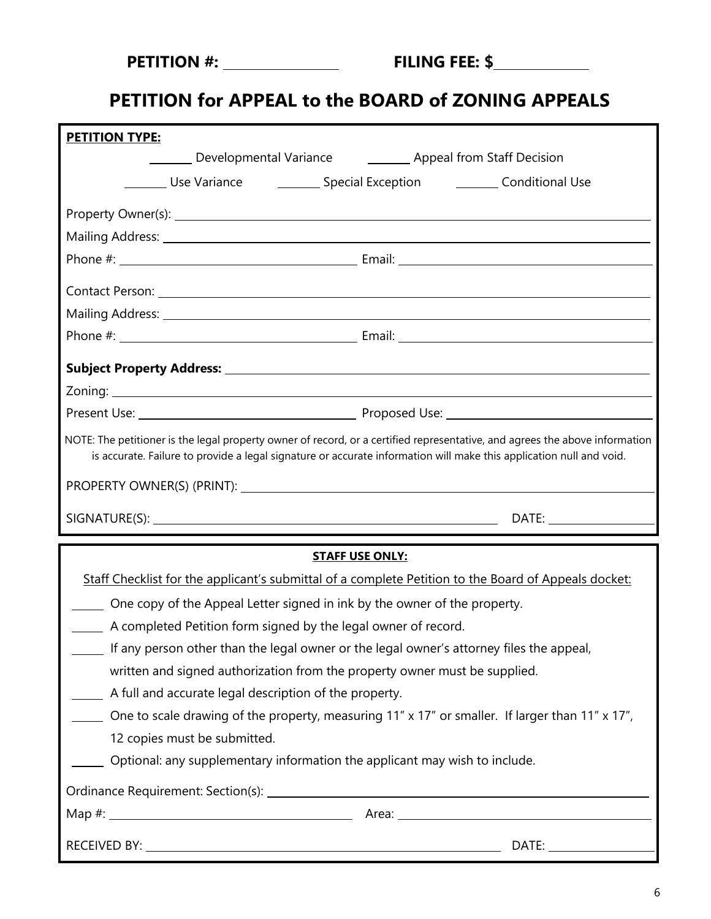| <b>PETITION #:</b> |
|--------------------|
|--------------------|

# **PETITION for APPEAL to the BOARD of ZONING APPEALS**

| <b>PETITION TYPE:</b>                                                                                                                                                                                                                              |                                                                                                 |  |  |
|----------------------------------------------------------------------------------------------------------------------------------------------------------------------------------------------------------------------------------------------------|-------------------------------------------------------------------------------------------------|--|--|
|                                                                                                                                                                                                                                                    | Developmental Variance <b>Common Contract Constant</b> Decision                                 |  |  |
| Use Variance <b>Conservation</b> Special Exception <b>Conservational Use</b>                                                                                                                                                                       |                                                                                                 |  |  |
|                                                                                                                                                                                                                                                    |                                                                                                 |  |  |
|                                                                                                                                                                                                                                                    |                                                                                                 |  |  |
|                                                                                                                                                                                                                                                    |                                                                                                 |  |  |
|                                                                                                                                                                                                                                                    |                                                                                                 |  |  |
|                                                                                                                                                                                                                                                    |                                                                                                 |  |  |
|                                                                                                                                                                                                                                                    |                                                                                                 |  |  |
|                                                                                                                                                                                                                                                    |                                                                                                 |  |  |
|                                                                                                                                                                                                                                                    |                                                                                                 |  |  |
|                                                                                                                                                                                                                                                    |                                                                                                 |  |  |
| NOTE: The petitioner is the legal property owner of record, or a certified representative, and agrees the above information<br>is accurate. Failure to provide a legal signature or accurate information will make this application null and void. |                                                                                                 |  |  |
|                                                                                                                                                                                                                                                    |                                                                                                 |  |  |
|                                                                                                                                                                                                                                                    |                                                                                                 |  |  |
|                                                                                                                                                                                                                                                    |                                                                                                 |  |  |
|                                                                                                                                                                                                                                                    | <b>STAFF USE ONLY:</b>                                                                          |  |  |
| Staff Checklist for the applicant's submittal of a complete Petition to the Board of Appeals docket:                                                                                                                                               |                                                                                                 |  |  |
| One copy of the Appeal Letter signed in ink by the owner of the property.                                                                                                                                                                          |                                                                                                 |  |  |
| A completed Petition form signed by the legal owner of record.                                                                                                                                                                                     |                                                                                                 |  |  |
| If any person other than the legal owner or the legal owner's attorney files the appeal,                                                                                                                                                           |                                                                                                 |  |  |
| written and signed authorization from the property owner must be supplied.                                                                                                                                                                         |                                                                                                 |  |  |
| A full and accurate legal description of the property.                                                                                                                                                                                             |                                                                                                 |  |  |
|                                                                                                                                                                                                                                                    | One to scale drawing of the property, measuring 11" x 17" or smaller. If larger than 11" x 17", |  |  |
| 12 copies must be submitted.                                                                                                                                                                                                                       |                                                                                                 |  |  |
| Optional: any supplementary information the applicant may wish to include.                                                                                                                                                                         |                                                                                                 |  |  |
|                                                                                                                                                                                                                                                    |                                                                                                 |  |  |
|                                                                                                                                                                                                                                                    |                                                                                                 |  |  |